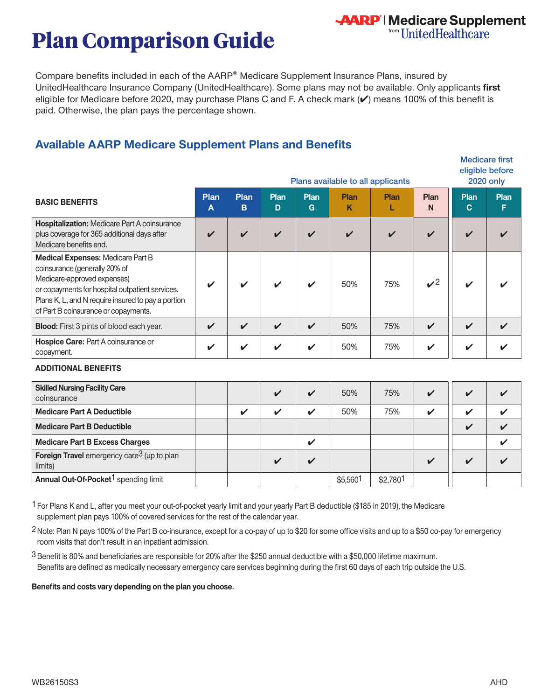# **Plan Comparison Guide**

Compare benefits included in each of the AARP® Medicare Supplement Insurance Plans, insured by UnitedHealthcare Insurance Company (UnitedHealthcare). Some plans may not be available. Only applicants **first**  eligible for Medicare before 2020, may purchase Plans C and F. A check mark (✔) means 100% of this benefit is paid. Otherwise, the plan pays the percentage shown.

**AARP** | Medicare Supplement<br>
"UnitedHealthcare

# **Available AARP Medicare Supplement Plans and Benefits**

|                                                                                                                                                                                                                                                           | Plans available to all applicants |                  |                            |                            |                    | <b>Medicare first</b><br>eligible before<br><b>2020 only</b> |                    |                     |           |
|-----------------------------------------------------------------------------------------------------------------------------------------------------------------------------------------------------------------------------------------------------------|-----------------------------------|------------------|----------------------------|----------------------------|--------------------|--------------------------------------------------------------|--------------------|---------------------|-----------|
| <b>BASIC BENEFITS</b>                                                                                                                                                                                                                                     | Plan<br>A                         | <b>Plan</b><br>B | Plan<br>D                  | Plan<br>G                  | Plan<br>Κ          | Plan                                                         | <b>Plan</b><br>N   | Plan<br>$\mathbf C$ | Plan<br>F |
| <b>Hospitalization: Medicare Part A coinsurance</b><br>plus coverage for 365 additional days after<br>Medicare benefits end.                                                                                                                              |                                   | ✔                | $\boldsymbol{\mathcal{U}}$ | $\boldsymbol{\mathcal{U}}$ | $\boldsymbol{\nu}$ | $\boldsymbol{\nu}$                                           | $\boldsymbol{\nu}$ | $\boldsymbol{\nu}$  |           |
| <b>Medical Expenses: Medicare Part B</b><br>coinsurance (generally 20% of<br>Medicare-approved expenses)<br>or copayments for hospital outpatient services.<br>Plans K, L, and N require insured to pay a portion<br>of Part B coinsurance or copayments. |                                   |                  |                            | $\boldsymbol{\nu}$         | 50%                | 75%                                                          | $\mathcal{V}^2$    | ✔                   |           |
| <b>Blood:</b> First 3 pints of blood each year.                                                                                                                                                                                                           | $\boldsymbol{\mathcal{U}}$        | ✓                | $\mathbf{v}$               | $\boldsymbol{\nu}$         | 50%                | 75%                                                          | $\boldsymbol{\nu}$ | $\boldsymbol{\nu}$  |           |
| <b>Hospice Care: Part A coinsurance or</b><br>copayment.                                                                                                                                                                                                  | ✔                                 | ✔                | V                          | ✓                          | 50%                | 75%                                                          | ✔                  | ✔                   |           |

#### **ADDITIONAL BENEFITS**

| <b>Skilled Nursing Facility Care</b><br>coinsurance               |  | V                  | 50%      | 75%      | $\mathbf v$             | M                       |  |
|-------------------------------------------------------------------|--|--------------------|----------|----------|-------------------------|-------------------------|--|
| <b>Medicare Part A Deductible</b>                                 |  | V                  | 50%      | 75%      | ✔                       | $\mathbf{u}$            |  |
| <b>Medicare Part B Deductible</b>                                 |  |                    |          |          |                         | $\overline{\mathbf{v}}$ |  |
| <b>Medicare Part B Excess Charges</b>                             |  | $\boldsymbol{\nu}$ |          |          |                         |                         |  |
| Foreign Travel emergency care <sup>3</sup> (up to plan<br>limits) |  | $\mathbf v$        |          |          | $\overline{\mathbf{v}}$ | $\overline{\mathbf{v}}$ |  |
| Annual Out-Of-Pocket <sup>1</sup> spending limit                  |  |                    | \$5,5601 | \$2,7801 |                         |                         |  |

1 For Plans K and L, after you meet your out-of-pocket yearly limit and your yearly Part B deductible (\$185 in 2019), the Medicare supplement plan pays 100% of covered services for the rest of the calendar year.

2 Note: Plan N pays 100% of the Part B co-insurance, except for a co-pay of up to \$20 for some office visits and up to a \$50 co-pay for emergency room visits that don't result in an inpatient admission.

3 Benefit is 80% and beneficiaries are responsible for 20% after the \$250 annual deductible with a \$50,000 lifetime maximum. Benefits are defined as medically necessary emergency care services beginning during the first 60 days of each trip outside the U.S.

**Benefits and costs vary depending on the plan you choose.**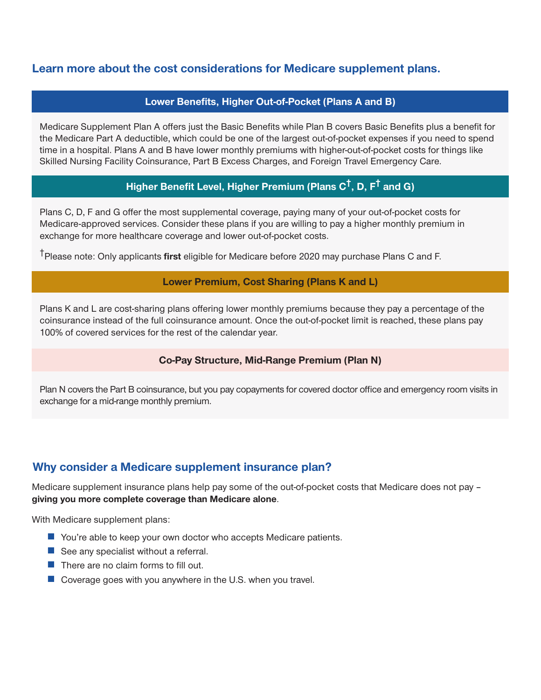## **Learn more about the cost considerations for Medicare supplement plans.**

#### **Lower Benefits, Higher Out-of-Pocket (Plans A and B)**

Medicare Supplement Plan A offers just the Basic Benefits while Plan B covers Basic Benefits plus a benefit for the Medicare Part A deductible, which could be one of the largest out-of-pocket expenses if you need to spend time in a hospital. Plans A and B have lower monthly premiums with higher-out-of-pocket costs for things like Skilled Nursing Facility Coinsurance, Part B Excess Charges, and Foreign Travel Emergency Care.

## **Higher Benefit Level, Higher Premium (Plans C†, D, F† and G)**

Plans C, D, F and G offer the most supplemental coverage, paying many of your out-of-pocket costs for Medicare-approved services. Consider these plans if you are willing to pay a higher monthly premium in exchange for more healthcare coverage and lower out-of-pocket costs.

†Please note: Only applicants **first** eligible for Medicare before 2020 may purchase Plans C and F.

#### **Lower Premium, Cost Sharing (Plans K and L)**

Plans K and L are cost-sharing plans offering lower monthly premiums because they pay a percentage of the coinsurance instead of the full coinsurance amount. Once the out-of-pocket limit is reached, these plans pay 100% of covered services for the rest of the calendar year.

#### **Co-Pay Structure, Mid-Range Premium (Plan N)**

Plan N covers the Part B coinsurance, but you pay copayments for covered doctor office and emergency room visits in exchange for a mid-range monthly premium.

## **Why consider a Medicare supplement insurance plan?**

Medicare supplement insurance plans help pay some of the out-of-pocket costs that Medicare does not pay – **giving you more complete coverage than Medicare alone**.

With Medicare supplement plans:

- You're able to keep your own doctor who accepts Medicare patients.
- See any specialist without a referral.
- There are no claim forms to fill out.
- Coverage goes with you anywhere in the U.S. when you travel.